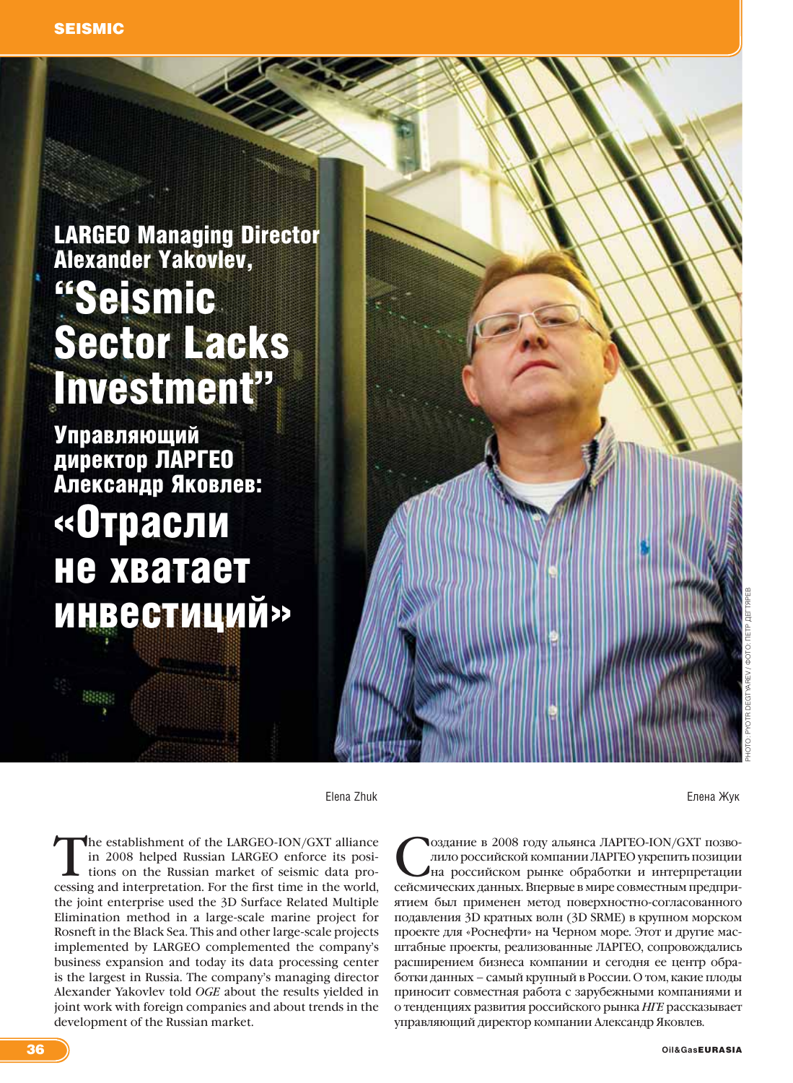# LARGEO Managing Director Alexander Yakovlev, "Seismic Sector Lacks Investment"

Управляющий директор ЛАРГЕО Александр Яковлев: «Отрасли не хватает инвестиций»

Elena Zhuk Елена Жук

The establishment of the LARGEO-ION/GXT alliance<br>in 2008 helped Russian LARGEO enforce its posi-<br>tions on the Russian market of seismic data pro-<br>cessing and interpretation. For the first time in the world in 2008 helped Russian LARGEO enforce its posicessing and interpretation. For the first time in the world, the joint enterprise used the 3D Surface Related Multiple Elimination method in a large-scale marine project for Rosneft in the Black Sea. This and other large-scale projects implemented by LARGEO complemented the company's business expansion and today its data processing center is the largest in Russia. The company's managing director Alexander Yakovlev told *OGE* about the results yielded in joint work with foreign companies and about trends in the development of the Russian market.

Оздание в 2008 году альянса ЛАРГЕО-ION/GXT позво-<br>пило российской компании ЛАРГЕО укрепить позиции<br>на российском рынке обработки и интерпретации<br>сейсмических ланных Впервые в мире совместным прелирилило российской компании ЛАРГЕО укрепить позиции на российском рынке обработки и интерпретации сейсмических данных. Впервые в мире совместным предприятием был применен метод поверхностно-согласованного подавления 3D кратных волн (3D SRME) в крупном морском проекте для «Роснефти» на Черном море. Этот и другие масштабные проекты, реализованные ЛАРГЕО, сопровождались расширением бизнеса компании и сегодня ее центр обработки данных – самый крупный в России. О том, какие плоды приносит совместная работа с зарубежными компаниями и о тенденциях развития российского рынка *НГЕ* рассказывает управляющий директор компании Александр Яковлев.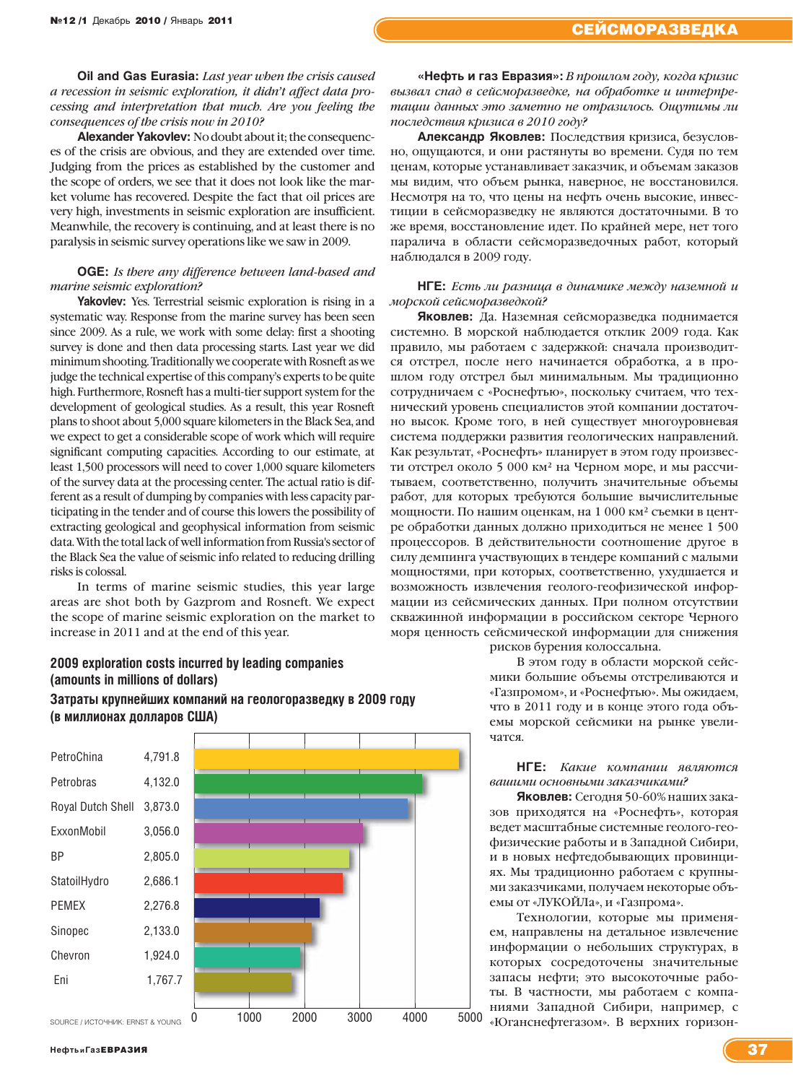**Oil and Gas Eurasia:** *Last year when the crisis caused a recession in seismic exploration, it didn't affect data processing and interpretation that much. Are you feeling the consequences of the crisis now in 2010?*

**Alexander Yakovlev:** No doubt about it; the consequences of the crisis are obvious, and they are extended over time. Judging from the prices as established by the customer and the scope of orders, we see that it does not look like the market volume has recovered. Despite the fact that oil prices are very high, investments in seismic exploration are insufficient. Meanwhile, the recovery is continuing, and at least there is no paralysis in seismic survey operations like we saw in 2009.

# **OGE:** *Is there any difference between land-based and marine seismic exploration?*

**Yakovlev:** Yes. Terrestrial seismic exploration is rising in a systematic way. Response from the marine survey has been seen since 2009. As a rule, we work with some delay: first a shooting survey is done and then data processing starts. Last year we did minimum shooting. Traditionally we cooperate with Rosneft as we judge the technical expertise of this company's experts to be quite high. Furthermore, Rosneft has a multi-tier support system for the development of geological studies. As a result, this year Rosneft plans to shoot about 5,000 square kilometers in the Black Sea, and we expect to get a considerable scope of work which will require significant computing capacities. According to our estimate, at least 1,500 processors will need to cover 1,000 square kilometers of the survey data at the processing center. The actual ratio is different as a result of dumping by companies with less capacity participating in the tender and of course this lowers the possibility of extracting geological and geophysical information from seismic data. With the total lack of well information from Russia's sector of the Black Sea the value of seismic info related to reducing drilling risks is colossal.

In terms of marine seismic studies, this year large areas are shot both by Gazprom and Rosneft. We expect the scope of marine seismic exploration on the market to increase in 2011 and at the end of this year.

# **2009 exploration costs incurred by leading companies** (amounts in millions of dollars)

Затраты крупнейших компаний на геологоразведку в 2009 году (в миллионах долларов США)

| PetroChina        | 4,791.8 |  |  |  |
|-------------------|---------|--|--|--|
| Petrobras         | 4,132.0 |  |  |  |
| Royal Dutch Shell | 3,873.0 |  |  |  |
| ExxonMobil        | 3,056.0 |  |  |  |
| BP                | 2,805.0 |  |  |  |
| StatoilHydro      | 2,686.1 |  |  |  |
| <b>PEMEX</b>      | 2,276.8 |  |  |  |
| Sinopec           | 2,133.0 |  |  |  |
| Chevron           | 1,924.0 |  |  |  |
| Eni               | 1,767.7 |  |  |  |
|                   |         |  |  |  |

0 1000 2000 3000 4000 5000

SOURCE / ИСТОЧНИК: ERNST & YOUNG  $\theta$ 

**«Нефть и газ Евразия»:** *В прошлом году, когда кризис вызвал спад в сейсморазведке, на обработке и интерпретации данных это заметно не отразилось. Ощутимы ли последствия кризиса в 2010 году?*

**Александр Яковлев:** Последствия кризиса, безусловно, ощущаются, и они растянуты во времени. Судя по тем ценам, которые устанавливает заказчик, и объемам заказов мы видим, что объем рынка, наверное, не восстановился. Несмотря на то, что цены на нефть очень высокие, инвестиции в сейсморазведку не являются достаточными. В то же время, восстановление идет. По крайней мере, нет того паралича в области сейсморазведочных работ, который наблюдался в 2009 году.

# **НГЕ:** *Есть ли разница в динамике между наземной и морской сейсморазведкой?*

**Яковлев:** Да. Наземная сейсморазведка поднимается системно. В морской наблюдается отклик 2009 года. Как правило, мы работаем с задержкой: сначала производится отстрел, после него начинается обработка, а в прошлом году отстрел был минимальным. Мы традиционно сотрудничаем с «Роснефтью», поскольку считаем, что технический уровень специалистов этой компании достаточно высок. Кроме того, в ней существует многоуровневая система поддержки развития геологических направлений. Как результат, «Роснефть» планирует в этом году произвести отстрел около 5 000 км² на Черном море, и мы рассчитываем, соответственно, получить значительные объемы работ, для которых требуются большие вычислительные мощности. По нашим оценкам, на 1 000 км² съемки в центре обработки данных должно приходиться не менее 1 500 процессоров. В действительности соотношение другое в силу демпинга участвующих в тендере компаний с малыми мощностями, при которых, соответственно, ухудшается и возможность извлечения геолого-геофизической информации из сейсмических данных. При полном отсутствии скважинной информации в российском секторе Черного моря ценность сейсмической информации для снижения

рисков бурения колоссальна.

В этом году в области морской сейсмики большие объемы отстреливаются и «Газпромом», и «Роснефтью». Мы ожидаем, что в 2011 году и в конце этого года объемы морской сейсмики на рынке увеличатся.

# **НГЕ:** *Какие компании являются вашими основными заказчиками?*

**Яковлев:** Сегодня 50-60% наших заказов приходятся на «Роснефть», которая ведет масштабные системные геолого-геофизические работы и в Западной Сибири, и в новых нефтедобывающих провинциях. Мы традиционно работаем с крупными заказчиками, получаем некоторые объемы от «ЛУКОЙЛа», и «Газпрома».

Технологии, которые мы применяем, направлены на детальное извлечение информации о небольших структурах, в которых сосредоточены значительные запасы нефти; это высокоточные работы. В частности, мы работаем с компаниями Западной Сибири, например, с «Юганснефтегазом». В верхних горизон-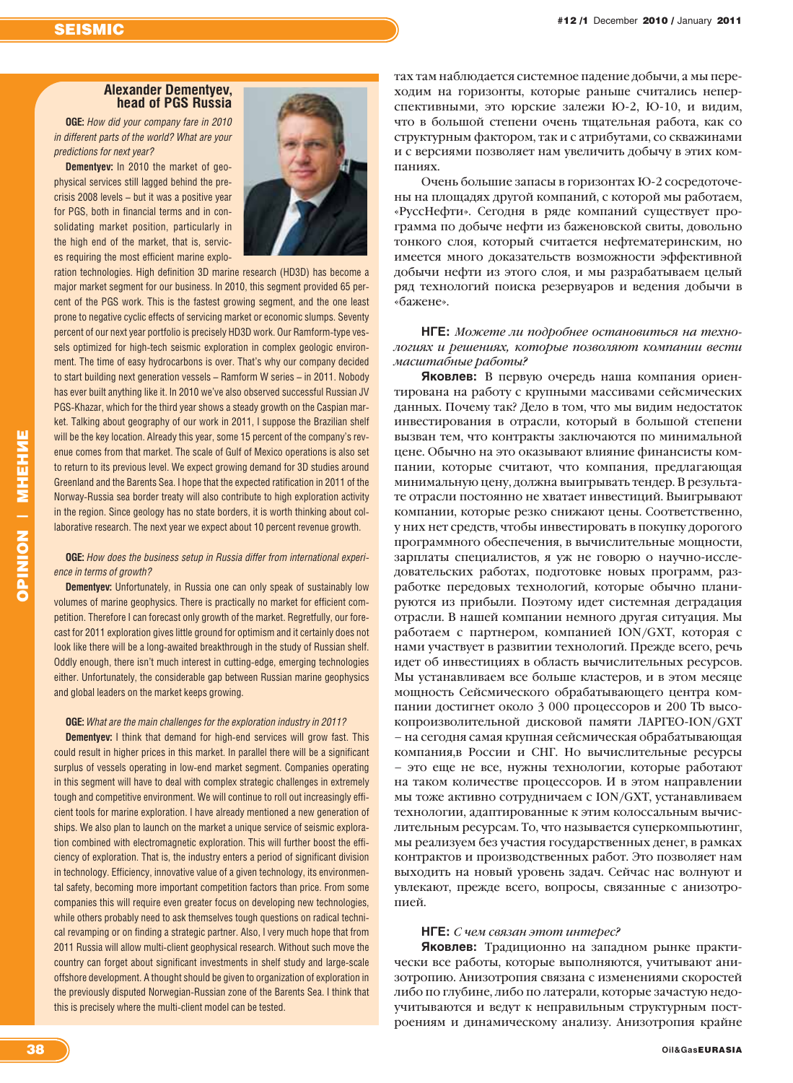# **Alexander Dementvev.** head of PGS Russia

**OGE:** How did your company fare in 2010 in different parts of the world? What are your predictions for next vear?

**Dementyev:** In 2010 the market of geophysical services still lagged behind the precrisis 2008 levels - but it was a positive year for PGS, both in financial terms and in consolidating market position, particularly in the high end of the market, that is, services requiring the most efficient marine explo-



ration technologies. High definition 3D marine research (HD3D) has become a major market segment for our business. In 2010, this segment provided 65 percent of the PGS work. This is the fastest growing segment, and the one least prone to negative cyclic effects of servicing market or economic slumps. Seventy percent of our next year portfolio is precisely HD3D work. Our Ramform-type vessels optimized for high-tech seismic exploration in complex geologic environment. The time of easy hydrocarbons is over. That's why our company decided to start building next generation vessels - Ramform W series - in 2011. Nobody has ever built anything like it. In 2010 we've also observed successful Russian JV PGS-Khazar, which for the third year shows a steady growth on the Caspian market. Talking about geography of our work in 2011, I suppose the Brazilian shelf will be the key location. Already this year, some 15 percent of the company's revenue comes from that market. The scale of Gulf of Mexico operations is also set to return to its previous level. We expect growing demand for 3D studies around Greenland and the Barents Sea. I hope that the expected ratification in 2011 of the Norway-Russia sea border treaty will also contribute to high exploration activity in the region. Since geology has no state borders, it is worth thinking about collaborative research. The next year we expect about 10 percent revenue growth.

# **OGE:** How does the business setup in Russia differ from international experience in terms of growth?

**Dementyev:** Unfortunately, in Russia one can only speak of sustainably low volumes of marine geophysics. There is practically no market for efficient competition. Therefore I can forecast only growth of the market. Regretfully, our forecast for 2011 exploration gives little ground for optimism and it certainly does not look like there will be a long-awaited breakthrough in the study of Russian shelf. Oddly enough, there isn't much interest in cutting-edge, emerging technologies either. Unfortunately, the considerable gap between Russian marine geophysics and global leaders on the market keeps growing.

### **OGE:** What are the main challenges for the exploration industry in 2011?

Dementyev: I think that demand for high-end services will grow fast. This could result in higher prices in this market. In parallel there will be a significant surplus of vessels operating in low-end market segment. Companies operating in this segment will have to deal with complex strategic challenges in extremely tough and competitive environment. We will continue to roll out increasingly efficient tools for marine exploration. I have already mentioned a new generation of ships. We also plan to launch on the market a unique service of seismic exploration combined with electromagnetic exploration. This will further boost the efficiency of exploration. That is, the industry enters a period of significant division in technology. Efficiency, innovative value of a given technology, its environmental safety, becoming more important competition factors than price. From some companies this will require even greater focus on developing new technologies, while others probably need to ask themselves tough questions on radical technical revamping or on finding a strategic partner. Also, I very much hope that from 2011 Russia will allow multi-client geophysical research. Without such move the country can forget about significant investments in shelf study and large-scale offshore development. A thought should be given to organization of exploration in the previously disputed Norwegian-Russian zone of the Barents Sea. I think that this is precisely where the multi-client model can be tested.

тах там наблюдается системное падение добычи, а мы переходим на горизонты, которые раньше считались неперспективными, это юрские залежи Ю-2, Ю-10, и видим, что в большой степени очень тщательная работа, как со структурным фактором, так и с атрибутами, со скважинами и с версиями позволяет нам увеличить добычу в этих компаниях.

Очень большие запасы в горизонтах Ю-2 сосредоточены на площадях другой компаний, с которой мы работаем, «РуссНефти». Сегодня в ряде компаний существует программа по добыче нефти из баженовской свиты, довольно тонкого слоя, который считается нефтематеринским, но имеется много доказательств возможности эффективной добычи нефти из этого слоя, и мы разрабатываем целый ряд технологий поиска резервуаров и ведения добычи в «бажене».

# НГЕ: Можете ли подробнее остановиться на технологиях и решениях, которые позволяют компании вести масштабные работы?

Яковлев: В первую очередь наша компания ориентирована на работу с крупными массивами сейсмических данных. Почему так? Дело в том, что мы видим недостаток инвестирования в отрасли, который в большой степени вызван тем, что контракты заключаются по минимальной цене. Обычно на это оказывают влияние финансисты компании, которые считают, что компания, предлагающая минимальную цену, должна выигрывать тендер. В результате отрасли постоянно не хватает инвестиций. Выигрывают компании, которые резко снижают цены. Соответственно, у них нет средств, чтобы инвестировать в покупку дорогого программного обеспечения, в вычислительные мощности, зарплаты специалистов, я уж не говорю о научно-исследовательских работах, подготовке новых программ, разработке передовых технологий, которые обычно планируются из прибыли. Поэтому идет системная деградация отрасли. В нашей компании немного другая ситуация. Мы работаем с партнером, компанией ION/GXT, которая с нами участвует в развитии технологий. Прежде всего, речь идет об инвестициях в область вычислительных ресурсов. Мы устанавливаем все больше кластеров, и в этом месяце мощность Сейсмического обрабатывающего центра компании достигнет около 3 000 процессоров и 200 Тb высокопроизволительной дисковой памяти ЛАРГЕО-ION/GXT - на сегодня самая крупная сейсмическая обрабатывающая компания, в России и СНГ. Но вычислительные ресурсы - это еще не все, нужны технологии, которые работают на таком количестве процессоров. И в этом направлении мы тоже активно сотрудничаем с ION/GXT, устанавливаем технологии, адаптированные к этим колоссальным вычислительным ресурсам. То, что называется суперкомпьютинг, мы реализуем без участия государственных денег, в рамках контрактов и производственных работ. Это позволяет нам выходить на новый уровень задач. Сейчас нас волнуют и увлекают, прежде всего, вопросы, связанные с анизотропией.

# НГЕ: С чем связан этот интерес?

Яковлев: Традиционно на западном рынке практически все работы, которые выполняются, учитывают анизотропию. Анизотропия связана с изменениями скоростей либо по глубине, либо по латерали, которые зачастую недоучитываются и ведут к неправильным структурным построениям и динамическому анализу. Анизотропия крайне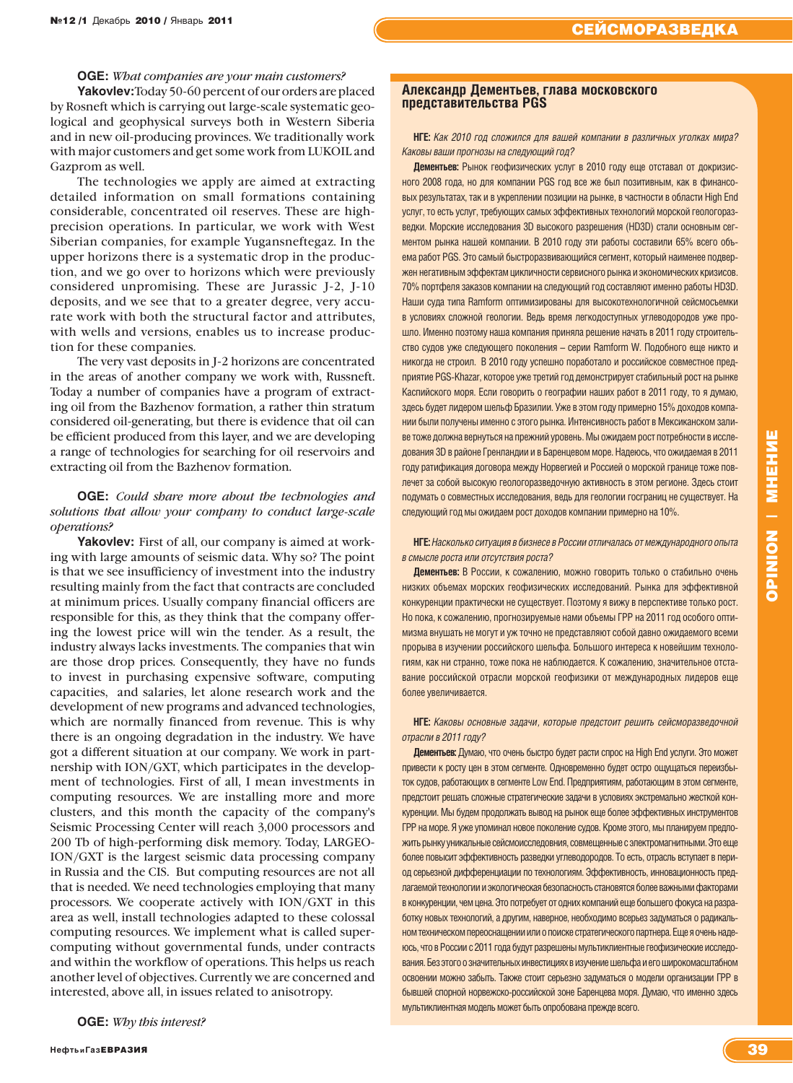# **OGE:** *What companies are your main customers?*

**Yakovlev:**Today 50-60 percent of our orders are placed by Rosneft which is carrying out large-scale systematic geological and geophysical surveys both in Western Siberia and in new oil-producing provinces. We traditionally work with major customers and get some work from LUKOIL and Gazprom as well.

The technologies we apply are aimed at extracting detailed information on small formations containing considerable, concentrated oil reserves. These are highprecision operations. In particular, we work with West Siberian companies, for example Yugansneftegaz. In the upper horizons there is a systematic drop in the production, and we go over to horizons which were previously considered unpromising. These are Jurassic J-2, J-10 deposits, and we see that to a greater degree, very accurate work with both the structural factor and attributes, with wells and versions, enables us to increase production for these companies.

The very vast deposits in J-2 horizons are concentrated in the areas of another company we work with, Russneft. Today a number of companies have a program of extracting oil from the Bazhenov formation, a rather thin stratum considered oil-generating, but there is evidence that oil can be efficient produced from this layer, and we are developing a range of technologies for searching for oil reservoirs and extracting oil from the Bazhenov formation.

# **OGE:** *Could share more about the technologies and solutions that allow your company to conduct large-scale operations?*

**Yakovlev:** First of all, our company is aimed at working with large amounts of seismic data. Why so? The point is that we see insufficiency of investment into the industry resulting mainly from the fact that contracts are concluded at minimum prices. Usually company financial officers are responsible for this, as they think that the company offering the lowest price will win the tender. As a result, the industry always lacks investments. The companies that win are those drop prices. Consequently, they have no funds to invest in purchasing expensive software, computing capacities, and salaries, let alone research work and the development of new programs and advanced technologies, which are normally financed from revenue. This is why there is an ongoing degradation in the industry. We have got a different situation at our company. We work in partnership with ION/GXT, which participates in the development of technologies. First of all, I mean investments in computing resources. We are installing more and more clusters, and this month the capacity of the company's Seismic Processing Center will reach 3,000 processors and 200 Tb of high-performing disk memory. Today, LARGEO-ION/GXT is the largest seismic data processing company in Russia and the CIS. But computing resources are not all that is needed. We need technologies employing that many processors. We cooperate actively with ION/GXT in this area as well, install technologies adapted to these colossal computing resources. We implement what is called supercomputing without governmental funds, under contracts and within the workflow of operations. This helps us reach another level of objectives. Currently we are concerned and interested, above all, in issues related to anisotropy.

**OGE:** *Why this interest?* 

# **Александр Дементьев, глава московского представительства PGS**

**НГЕ:** *Как 2010 год сложился для вашей компании в различных уголках мира? Каковы ваши прогнозы на следующий год?*

**Дементьев:** Рынок геофизических услуг в 2010 году еще отставал от докризисного 2008 года, но для компании PGS год все же был позитивным, как в финансовых результатах, так и в укреплении позиции на рынке, в частности в области High End услуг, то есть услуг, требующих самых эффективных технологий морской геологоразведки. Морские исследования 3D высокого разрешения (HD3D) стали основным сегментом рынка нашей компании. В 2010 году эти работы составили 65% всего объема работ PGS. Это самый быстроразвивающийся сегмент, который наименее подвержен негативным эффектам цикличности сервисного рынка и экономических кризисов. 70% портфеля заказов компании на следующий год составляют именно работы HD3D. Наши суда типа Ramform оптимизированы для высокотехнологичной сейсмосъемки в условиях сложной геологии. Ведь время легкодоступных углеводородов уже прошло. Именно поэтому наша компания приняла решение начать в 2011 году строительство судов уже следующего поколения – серии Ramform W. Подобного еще никто и никогда не строил. В 2010 году успешно поработало и российское совместное предприятие PGS-Khazar, которое уже третий год демонстрирует стабильный рост на рынке Каспийского моря. Если говорить о географии наших работ в 2011 году, то я думаю, здесь будет лидером шельф Бразилии. Уже в этом году примерно 15% доходов компании были получены именно с этого рынка. Интенсивность работ в Мексиканском заливе тоже должна вернуться на прежний уровень. Мы ожидаем рост потребности в исследования 3D в районе Гренландии и в Баренцевом море. Надеюсь, что ожидаемая в 2011 году ратификация договора между Норвегией и Россией о морской границе тоже повлечет за собой высокую геологоразведочную активность в этом регионе. Здесь стоит подумать о совместных исследования, ведь для геологии госграниц не существует. На следующий год мы ожидаем рост доходов компании примерно на 10%.

**НГЕ:** *Насколько ситуация в бизнесе в России отличалась от международного опыта в смысле роста или отсутствия роста?*

**Дементьев:** В России, к сожалению, можно говорить только о стабильно очень низких объемах морских геофизических исследований. Рынка для эффективной конкуренции практически не существует. Поэтому я вижу в перспективе только рост. Но пока, к сожалению, прогнозируемые нами объемы ГРР на 2011 год особого оптимизма внушать не могут и уж точно не представляют собой давно ожидаемого всеми прорыва в изучении российского шельфа. Большого интереса к новейшим технологиям, как ни странно, тоже пока не наблюдается. К сожалению, значительное отставание российской отрасли морской геофизики от международных лидеров еще более увеличивается.

# **НГЕ:** *Каковы основные задачи, которые предстоит решить сейсморазведочной отрасли в 2011 году?*

**Дементьев:** Думаю, что очень быстро будет расти спрос на High End услуги. Это может привести к росту цен в этом сегменте. Одновременно будет остро ощущаться переизбыток судов, работающих в сегменте Low End. Предприятиям, работающим в этом сегменте, предстоит решать сложные стратегические задачи в условиях экстремально жесткой конкуренции. Мы будем продолжать вывод на рынок еще более эффективных инструментов ГРР на море. Я уже упоминал новое поколение судов. Кроме этого, мы планируем предложить рынку уникальные сейсмоисследовния, совмещенные с электромагнитными. Это еще более повысит эффективность разведки углеводородов. То есть, отрасль вступает в период серьезной дифференциации по технологиям. Эффективность, инновационность предлагаемой технологии и экологическая безопасность становятся более важными факторами в конкуренции, чем цена. Это потребует от одних компаний еще большего фокуса на разработку новых технологий, а другим, наверное, необходимо всерьез задуматься о радикальном техническом переоснащении или о поиске стратегического партнера. Еще я очень надеюсь, что в России с 2011 года будут разрешены мультиклиентные геофизические исследования. Без этого о значительных инвестициях в изучение шельфа и его широкомасштабном освоении можно забыть. Также стоит серьезно задуматься о модели организации ГРР в бывшей спорной норвежско-российской зоне Баренцева моря. Думаю, что именно здесь мультиклиентная модель может быть опробована прежде всего.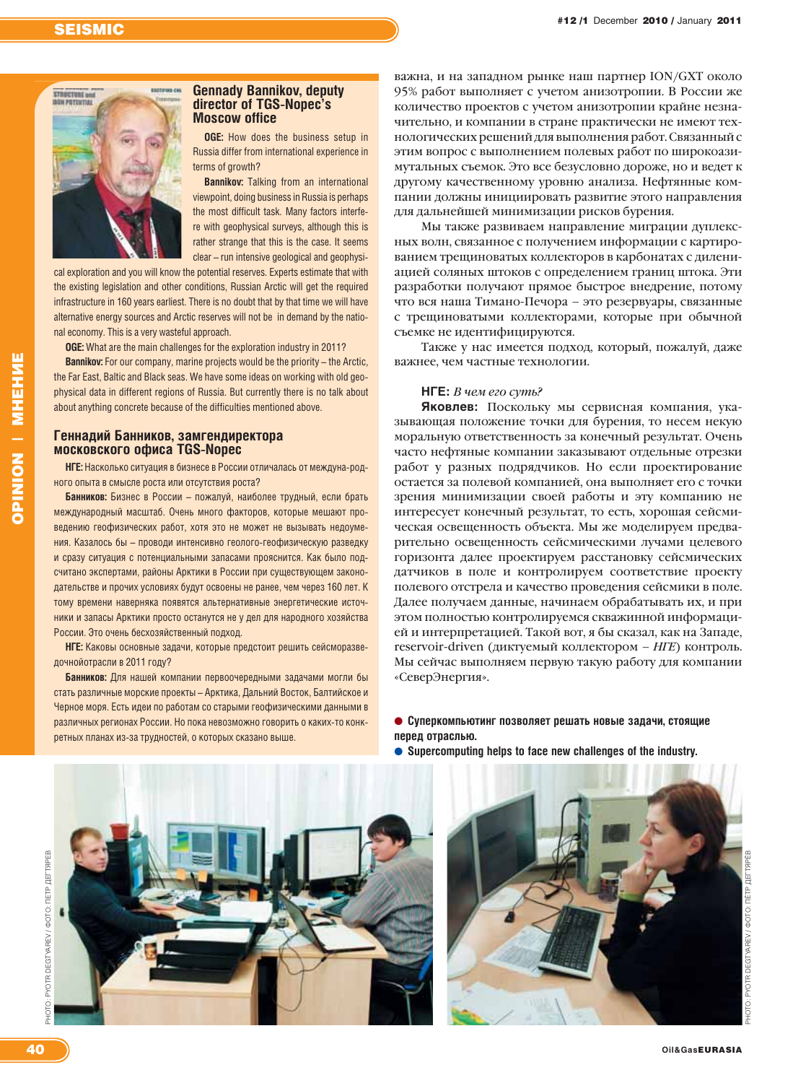# **STRUCTURE and**<br>ISON POTENTIAL

# **Gennady Bannikov, deputy** director of TGS-Nopec's **Moscow office**

**OGE:** How does the business setup in Russia differ from international experience in terms of growth?

**Bannikov:** Talking from an international viewpoint, doing business in Russia is perhaps the most difficult task. Many factors interfere with geophysical surveys, although this is rather strange that this is the case. It seems clear - run intensive geological and geophysi-

cal exploration and you will know the potential reserves. Experts estimate that with the existing legislation and other conditions. Russian Arctic will get the required infrastructure in 160 years earliest. There is no doubt that by that time we will have alternative energy sources and Arctic reserves will not be in demand by the national economy. This is a very wasteful approach.

OGE: What are the main challenges for the exploration industry in 2011?

Bannikov: For our company, marine projects would be the priority - the Arctic, the Far East, Baltic and Black seas. We have some ideas on working with old geophysical data in different regions of Russia. But currently there is no talk about about anything concrete because of the difficulties mentioned above.

# Геннадий Банников, замгендиректора московского офиса TGS-Nopec

НГЕ: Насколько ситуация в бизнесе в России отличалась от междуна-родного опыта в смысле роста или отсутствия роста?

Банников: Бизнес в России - пожалуй, наиболее трудный, если брать международный масштаб. Очень много факторов, которые мешают проведению геофизических работ, хотя это не может не вызывать недоумения. Казалось бы - проводи интенсивно геолого-геофизическую разведку и сразу ситуация с потенциальными запасами прояснится. Как было подсчитано экспертами, районы Арктики в России при существующем законодательстве и прочих условиях будут освоены не ранее, чем через 160 лет. К тому времени наверняка появятся альтернативные энергетические источники и запасы Арктики просто останутся не у дел для народного хозяйства России. Это очень бесхозяйственный подход.

НГЕ: Каковы основные задачи, которые предстоит решить сейсморазведочнойотрасли в 2011 году?

Банников: Для нашей компании первоочередными задачами могли бы стать различные морские проекты - Арктика, Дальний Восток, Балтийское и Черное моря. Есть идеи по работам со старыми геофизическими данными в различных регионах России. Но пока невозможно говорить о каких-то конкретных планах из-за трудностей, о которых сказано выше.

важна, и на западном рынке наш партнер ION/GXT около 95% работ выполняет с учетом анизотропии. В России же количество проектов с учетом анизотропии крайне незначительно, и компании в стране практически не имеют технологических решений для выполнения работ. Связанный с этим вопрос с выполнением полевых работ по широкоазимутальных съемок. Это все безусловно дороже, но и ведет к другому качественному уровню анализа. Нефтянные компании должны инициировать развитие этого направления для дальнейшей минимизации рисков бурения.

Мы также развиваем направление миграции дуплексных волн. связанное с получением информации с картированием трещиноватых коллекторов в карбонатах с дилениацией соляных штоков с определением границ штока. Эти разработки получают прямое быстрое внедрение, потому что вся наша Тимано-Печора - это резервуары, связанные с трещиноватыми коллекторами, которые при обычной съемке не идентифицируются.

Также у нас имеется подход, который, пожалуй, даже важнее, чем частные технологии.

# $H\Gamma E$ : В чем его суть?

Яковлев: Поскольку мы сервисная компания, указывающая положение точки для бурения, то несем некую моральную ответственность за конечный результат. Очень часто нефтяные компании заказывают отдельные отрезки работ у разных подрядчиков. Но если проектирование остается за полевой компанией, она выполняет его с точки зрения минимизации своей работы и эту компанию не интересует конечный результат, то есть, хорошая сейсмическая освещенность объекта. Мы же моделируем предварительно освещенность сейсмическими лучами целевого горизонта далее проектируем расстановку сейсмических датчиков в поле и контролируем соответствие проекту полевого отстрела и качество проведения сейсмики в поле. Далее получаем данные, начинаем обрабатывать их, и при этом полностью контролируемся скважинной информацией и интерпретацией. Такой вот, я бы сказал, как на Западе, reservoir-driven (диктуемый коллектором - HTE) контроль. Мы сейчас выполняем первую такую работу для компании «СеверЭнергия».

# • Суперкомпьютинг позволяет решать новые задачи, стоящие перед отраслью.

• Supercomputing helps to face new challenges of the industry.



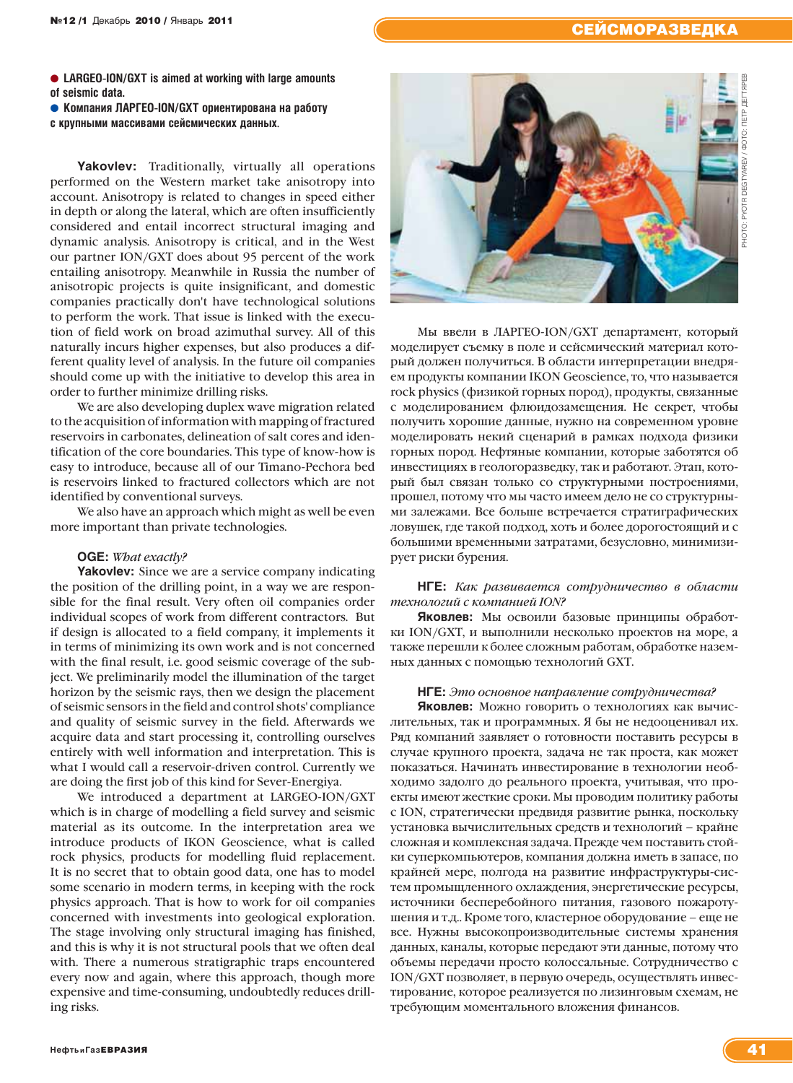# **№12 /1 Декабрь 2010 / Январь 2011** СЕЙСМОРАЗВЕДКА

● LARGEO-ION/GXT is aimed at working with large amounts **of seismic data.**

**● Компания ЛАРГЕО-ION/GXT ориентирована на работу** 

**с крупными массивами сейсмических данных**.

**Yakovlev:** Traditionally, virtually all operations performed on the Western market take anisotropy into account. Anisotropy is related to changes in speed either in depth or along the lateral, which are often insufficiently considered and entail incorrect structural imaging and dynamic analysis. Anisotropy is critical, and in the West our partner ION/GXT does about 95 percent of the work entailing anisotropy. Meanwhile in Russia the number of anisotropic projects is quite insignificant, and domestic companies practically don't have technological solutions to perform the work. That issue is linked with the execution of field work on broad azimuthal survey. All of this naturally incurs higher expenses, but also produces a different quality level of analysis. In the future oil companies should come up with the initiative to develop this area in order to further minimize drilling risks.

We are also developing duplex wave migration related to the acquisition of information with mapping of fractured reservoirs in carbonates, delineation of salt cores and identification of the core boundaries. This type of know-how is easy to introduce, because all of our Timano-Pechora bed is reservoirs linked to fractured collectors which are not identified by conventional surveys.

We also have an approach which might as well be even more important than private technologies.

# **OGE:** *What exactly?*

**Yakovlev:** Since we are a service company indicating the position of the drilling point, in a way we are responsible for the final result. Very often oil companies order individual scopes of work from different contractors. But if design is allocated to a field company, it implements it in terms of minimizing its own work and is not concerned with the final result, i.e. good seismic coverage of the subject. We preliminarily model the illumination of the target horizon by the seismic rays, then we design the placement of seismic sensors in the field and control shots' compliance and quality of seismic survey in the field. Afterwards we acquire data and start processing it, controlling ourselves entirely with well information and interpretation. This is what I would call a reservoir-driven control. Currently we are doing the first job of this kind for Sever-Energiya.

We introduced a department at LARGEO-ION/GXT which is in charge of modelling a field survey and seismic material as its outcome. In the interpretation area we introduce products of IKON Geoscience, what is called rock physics, products for modelling fluid replacement. It is no secret that to obtain good data, one has to model some scenario in modern terms, in keeping with the rock physics approach. That is how to work for oil companies concerned with investments into geological exploration. The stage involving only structural imaging has finished, and this is why it is not structural pools that we often deal with. There a numerous stratigraphic traps encountered every now and again, where this approach, though more expensive and time-consuming, undoubtedly reduces drilling risks.



Мы ввели в ЛАРГЕО-ION/GXT департамент, который моделирует съемку в поле и сейсмический материал который должен получиться. В области интерпретации внедряем продукты компании IKON Geoscience, то, что называется rock physics (физикой горных пород), продукты, связанные с моделированием флюидозамещения. Не секрет, чтобы получить хорошие данные, нужно на современном уровне моделировать некий сценарий в рамках подхода физики горных пород. Нефтяные компании, которые заботятся об инвестициях в геологоразведку, так и работают. Этап, который был связан только со структурными построениями, прошел, потому что мы часто имеем дело не со структурными залежами. Все больше встречается стратиграфических ловушек, где такой подход, хоть и более дорогостоящий и с большими временными затратами, безусловно, минимизирует риски бурения.

# **НГЕ:** *Как развивается сотрудничество в области технологий с компанией ION?*

**Яковлев:** Мы освоили базовые принципы обработки ION/GXT, и выполнили несколько проектов на море, а также перешли к более сложным работам, обработке наземных данных с помощью технологий GXT.

# **НГЕ:** *Это основное направление сотрудничества?*

**Яковлев:** Можно говорить о технологиях как вычислительных, так и программных. Я бы не недооценивал их. Ряд компаний заявляет о готовности поставить ресурсы в случае крупного проекта, задача не так проста, как может показаться. Начинать инвестирование в технологии необходимо задолго до реального проекта, учитывая, что проекты имеют жесткие сроки. Мы проводим политику работы с ION, стратегически предвидя развитие рынка, поскольку установка вычислительных средств и технологий – крайне сложная и комплексная задача. Прежде чем поставить стойки суперкомпьютеров, компания должна иметь в запасе, по крайней мере, полгода на развитие инфраструктуры-систем промыщленного охлаждения, энергетические ресурсы, источники бесперебойного питания, газового пожаротушения и т.д.. Кроме того, кластерное оборудование – еще не все. Нужны высокопроизводительные системы хранения данных, каналы, которые передают эти данные, потому что объемы передачи просто колоссальные. Сотрудничество с ION/GXT позволяет, в первую очередь, осуществлять инвестирование, которое реализуется по лизинговым схемам, не требующим моментального вложения финансов.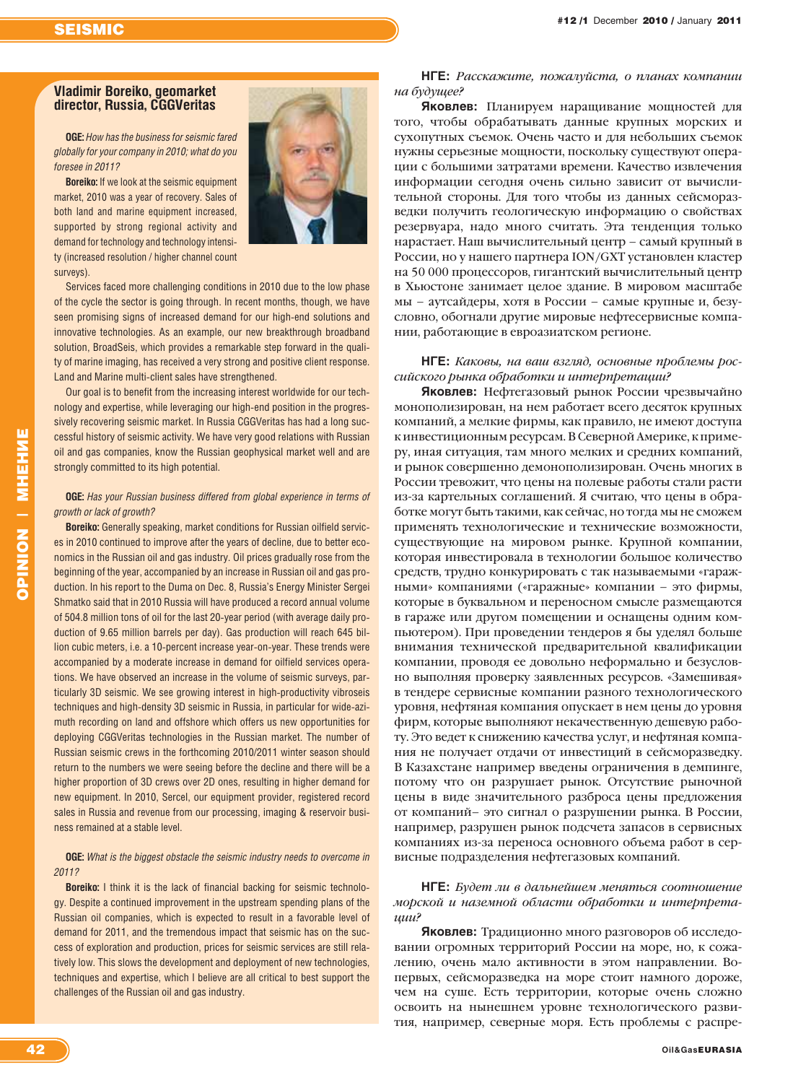# **Vladimir Boreiko, geomarket director, Russia, CGGVeritas**

**OGE:** *How has the business for seismic fared globally for your company in 2010; what do you foresee in 2011?* 

**Boreiko:** If we look at the seismic equipment market, 2010 was a year of recovery. Sales of both land and marine equipment increased, supported by strong regional activity and demand for technology and technology intensity (increased resolution / higher channel count surveys).



Services faced more challenging conditions in 2010 due to the low phase of the cycle the sector is going through. In recent months, though, we have seen promising signs of increased demand for our high-end solutions and innovative technologies. As an example, our new breakthrough broadband solution, BroadSeis, which provides a remarkable step forward in the quality of marine imaging, has received a very strong and positive client response. Land and Marine multi-client sales have strengthened.

Our goal is to benefit from the increasing interest worldwide for our technology and expertise, while leveraging our high-end position in the progressively recovering seismic market. In Russia CGGVeritas has had a long successful history of seismic activity. We have very good relations with Russian oil and gas companies, know the Russian geophysical market well and are strongly committed to its high potential.

# **OGE:** *Has your Russian business differed from global experience in terms of growth or lack of growth?*

**Boreiko:** Generally speaking, market conditions for Russian oilfield services in 2010 continued to improve after the years of decline, due to better economics in the Russian oil and gas industry. Oil prices gradually rose from the beginning of the year, accompanied by an increase in Russian oil and gas production. In his report to the Duma on Dec. 8, Russia's Energy Minister Sergei Shmatko said that in 2010 Russia will have produced a record annual volume of 504.8 million tons of oil for the last 20-year period (with average daily production of 9.65 million barrels per day). Gas production will reach 645 billion cubic meters, i.e. a 10-percent increase year-on-year. These trends were accompanied by a moderate increase in demand for oilfield services operations. We have observed an increase in the volume of seismic surveys, particularly 3D seismic. We see growing interest in high-productivity vibroseis techniques and high-density 3D seismic in Russia, in particular for wide-azimuth recording on land and offshore which offers us new opportunities for deploying CGGVeritas technologies in the Russian market. The number of Russian seismic crews in the forthcoming 2010/2011 winter season should return to the numbers we were seeing before the decline and there will be a higher proportion of 3D crews over 2D ones, resulting in higher demand for new equipment. In 2010, Sercel, our equipment provider, registered record sales in Russia and revenue from our processing, imaging & reservoir business remained at a stable level.

# **OGE:** *What is the biggest obstacle the seismic industry needs to overcome in 2011?*

**Boreiko:** I think it is the lack of financial backing for seismic technology. Despite a continued improvement in the upstream spending plans of the Russian oil companies, which is expected to result in a favorable level of demand for 2011, and the tremendous impact that seismic has on the success of exploration and production, prices for seismic services are still relatively low. This slows the development and deployment of new technologies, techniques and expertise, which I believe are all critical to best support the challenges of the Russian oil and gas industry.

**НГЕ:** *Расскажите, пожалуйста, о планах компании на будущее?*

**Яковлев:** Планируем наращивание мощностей для того, чтобы обрабатывать данные крупных морских и сухопутных съемок. Очень часто и для небольших съемок нужны серьезные мощности, поскольку существуют операции с большими затратами времени. Качество извлечения информации сегодня очень сильно зависит от вычислительной стороны. Для того чтобы из данных сейсморазведки получить геологическую информацию о свойствах резервуара, надо много считать. Эта тенденция только нарастает. Наш вычислительный центр – самый крупный в России, но у нашего партнера ION/GXT установлен кластер на 50 000 процессоров, гигантский вычислительный центр в Хьюстоне занимает целое здание. В мировом масштабе мы – аутсайдеры, хотя в России – самые крупные и, безусловно, обогнали другие мировые нефтесервисные компании, работающие в евроазиатском регионе.

# **НГЕ:** *Каковы, на ваш взгляд, основные проблемы российского рынка обработки и интерпретации?*

**Яковлев:** Нефтегазовый рынок России чрезвычайно монополизирован, на нем работает всего десяток крупных компаний, а мелкие фирмы, как правило, не имеют доступа к инвестиционным ресурсам. В Северной Америке, к примеру, иная ситуация, там много мелких и средних компаний, и рынок совершенно демонополизирован. Очень многих в России тревожит, что цены на полевые работы стали расти из-за картельных соглашений. Я считаю, что цены в обработке могут быть такими, как сейчас, но тогда мы не сможем применять технологические и технические возможности, существующие на мировом рынке. Крупной компании, которая инвестировала в технологии большое количество средств, трудно конкурировать с так называемыми «гаражными» компаниями («гаражные» компании – это фирмы, которые в буквальном и переносном смысле размещаются в гараже или другом помещении и оснащены одним компьютером). При проведении тендеров я бы уделял больше внимания технической предварительной квалификации компании, проводя ее довольно неформально и безусловно выполняя проверку заявленных ресурсов. «Замешивая» в тендере сервисные компании разного технологического уровня, нефтяная компания опускает в нем цены до уровня фирм, которые выполняют некачественную дешевую работу. Это ведет к снижению качества услуг, и нефтяная компания не получает отдачи от инвестиций в сейсморазведку. В Казахстане например введены ограничения в демпинге, потому что он разрушает рынок. Отсутствие рыночной цены в виде значительного разброса цены предложения от компаний– это сигнал о разрушении рынка. В России, например, разрушен рынок подсчета запасов в сервисных компаниях из-за переноса основного объема работ в сервисные подразделения нефтегазовых компаний.

# **НГЕ:** *Будет ли в дальнейшем меняться соотношение морской и наземной области обработки и интерпретации?*

**Яковлев:** Традиционно много разговоров об исследовании огромных территорий России на море, но, к сожалению, очень мало активности в этом направлении. Вопервых, сейсморазведка на море стоит намного дороже, чем на суше. Есть территории, которые очень сложно освоить на нынешнем уровне технологического развития, например, северные моря. Есть проблемы с распре-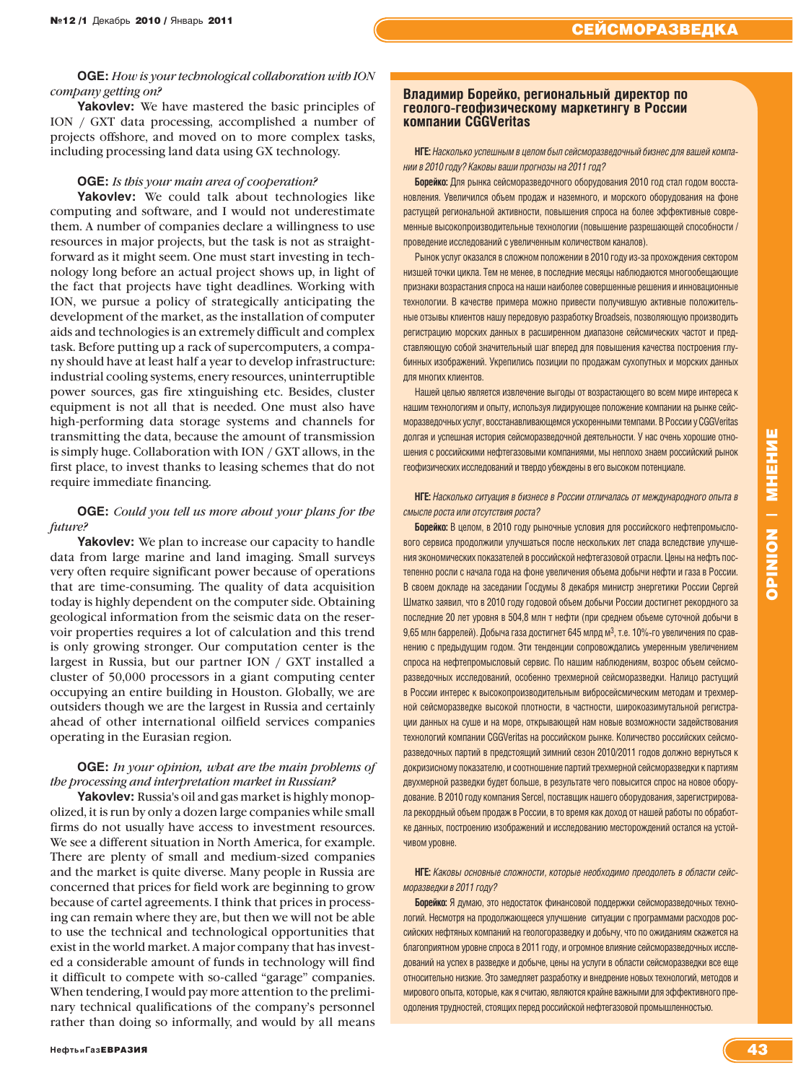# **OGE:** *How is your technological collaboration with ION company getting on?*

**Yakovlev:** We have mastered the basic principles of ION / GXT data processing, accomplished a number of projects offshore, and moved on to more complex tasks, including processing land data using GX technology.

# **OGE:** *Is this your main area of cooperation?*

Yakovlev: We could talk about technologies like computing and software, and I would not underestimate them. A number of companies declare a willingness to use resources in major projects, but the task is not as straightforward as it might seem. One must start investing in technology long before an actual project shows up, in light of the fact that projects have tight deadlines. Working with ION, we pursue a policy of strategically anticipating the development of the market, as the installation of computer aids and technologies is an extremely difficult and complex task. Before putting up a rack of supercomputers, a company should have at least half a year to develop infrastructure: industrial cooling systems, enery resources, uninterruptible power sources, gas fire xtinguishing etc. Besides, cluster equipment is not all that is needed. One must also have high-performing data storage systems and channels for transmitting the data, because the amount of transmission is simply huge. Collaboration with ION / GXT allows, in the first place, to invest thanks to leasing schemes that do not require immediate financing.

# **OGE:** *Could you tell us more about your plans for the future?*

**Yakovlev:** We plan to increase our capacity to handle data from large marine and land imaging. Small surveys very often require significant power because of operations that are time-consuming. The quality of data acquisition today is highly dependent on the computer side. Obtaining geological information from the seismic data on the reservoir properties requires a lot of calculation and this trend is only growing stronger. Our computation center is the largest in Russia, but our partner ION / GXT installed a cluster of 50,000 processors in a giant computing center occupying an entire building in Houston. Globally, we are outsiders though we are the largest in Russia and certainly ahead of other international oilfield services companies operating in the Eurasian region.

# **OGE:** *In your opinion, what are the main problems of the processing and interpretation market in Russian?*

**Yakovlev:** Russia's oil and gas market is highly monopolized, it is run by only a dozen large companies while small firms do not usually have access to investment resources. We see a different situation in North America, for example. There are plenty of small and medium-sized companies and the market is quite diverse. Many people in Russia are concerned that prices for field work are beginning to grow because of cartel agreements. I think that prices in processing can remain where they are, but then we will not be able to use the technical and technological opportunities that exist in the world market. A major company that has invested a considerable amount of funds in technology will find it difficult to compete with so-called "garage" companies. When tendering, I would pay more attention to the preliminary technical qualifications of the company's personnel rather than doing so informally, and would by all means

# **Владимир Борейко, региональный директор по геолого-геофизическому маркетингу в России компании CGGVeritas**

**НГЕ:** *Насколько успешным в целом был сейсморазведочный бизнес для вашей компании в 2010 году? Каковы ваши прогнозы на 2011 год?* 

**Борейко:** Для рынка сейсморазведочного оборудования 2010 год стал годом восстановления. Увеличился объем продаж и наземного, и морского оборудования на фоне растущей региональной активности, повышения спроса на более эффективные современные высокопроизводительные технологии (повышение разрешающей способности / проведение исследований с увеличенным количеством каналов).

Рынок услуг оказался в сложном положении в 2010 году из-за прохождения сектором низшей точки цикла. Тем не менее, в последние месяцы наблюдаются многообещающие признаки возрастания спроса на наши наиболее совершенные решения и инновационные технологии. В качестве примера можно привести получившую активные положительные отзывы клиентов нашу передовую разработку Broadseis, позволяющую производить регистрацию морских данных в расширенном диапазоне сейсмических частот и представляющую собой значительный шаг вперед для повышения качества построения глубинных изображений. Укрепились позиции по продажам сухопутных и морских данных для многих клиентов.

Нашей целью является извлечение выгоды от возрастающего во всем мире интереса к нашим технологиям и опыту, используя лидирующее положение компании на рынке сейсморазведочных услуг, восстанавливающемся ускоренными темпами. В России у CGGVeritas долгая и успешная история сейсморазведочной деятельности. У нас очень хорошие отношения с российскими нефтегазовыми компаниями, мы неплохо знаем российский рынок геофизических исследований и твердо убеждены в его высоком потенциале.

# **НГЕ:** *Насколько ситуация в бизнесе в России отличалась от международного опыта в смысле роста или отсутствия роста?*

**Борейко:** В целом, в 2010 году рыночные условия для российского нефтепромыслового сервиса продолжили улучшаться после нескольких лет спада вследствие улучшения экономических показателей в российской нефтегазовой отрасли. Цены на нефть постепенно росли с начала года на фоне увеличения объема добычи нефти и газа в России. В своем докладе на заседании Госдумы 8 декабря министр энергетики России Сергей Шматко заявил, что в 2010 году годовой объем добычи России достигнет рекордного за последние 20 лет уровня в 504,8 млн т нефти (при среднем объеме суточной добычи в 9,65 млн баррелей). Добыча газа достигнет 645 млрд м3, т.е. 10%-го увеличения по сравнению с предыдущим годом. Эти тенденции сопровождались умеренным увеличением спроса на нефтепромысловый сервис. По нашим наблюдениям, возрос объем сейсморазведочных исследований, особенно трехмерной сейсморазведки. Налицо растущий в России интерес к высокопроизводительным вибросейсмическим методам и трехмерной сейсморазведке высокой плотности, в частности, широкоазимутальной регистрации данных на суше и на море, открывающей нам новые возможности задействования технологий компании CGGVeritas на российском рынке. Количество российских сейсморазведочных партий в предстоящий зимний сезон 2010/2011 годов должно вернуться к докризисному показателю, и соотношение партий трехмерной сейсморазведки к партиям двухмерной разведки будет больше, в результате чего повысится спрос на новое оборудование. В 2010 году компания Sercel, поставщик нашего оборудования, зарегистрировала рекордный объем продаж в России, в то время как доход от нашей работы по обработке данных, построению изображений и исследованию месторождений остался на устойчивом уровне.

**НГЕ:** *Каковы основные сложности, которые необходимо преодолеть в области сейсморазведки в 2011 году?*

**Борейко:** Я думаю, это недостаток финансовой поддержки сейсморазведочных технологий. Несмотря на продолжающееся улучшение ситуации с программами расходов российских нефтяных компаний на геологоразведку и добычу, что по ожиданиям скажется на благоприятном уровне спроса в 2011 году, и огромное влияние сейсморазведочных исследований на успех в разведке и добыче, цены на услуги в области сейсморазведки все еще относительно низкие. Это замедляет разработку и внедрение новых технологий, методов и мирового опыта, которые, как я считаю, являются крайне важными для эффективного преодоления трудностей, стоящих перед российской нефтегазовой промышленностью.